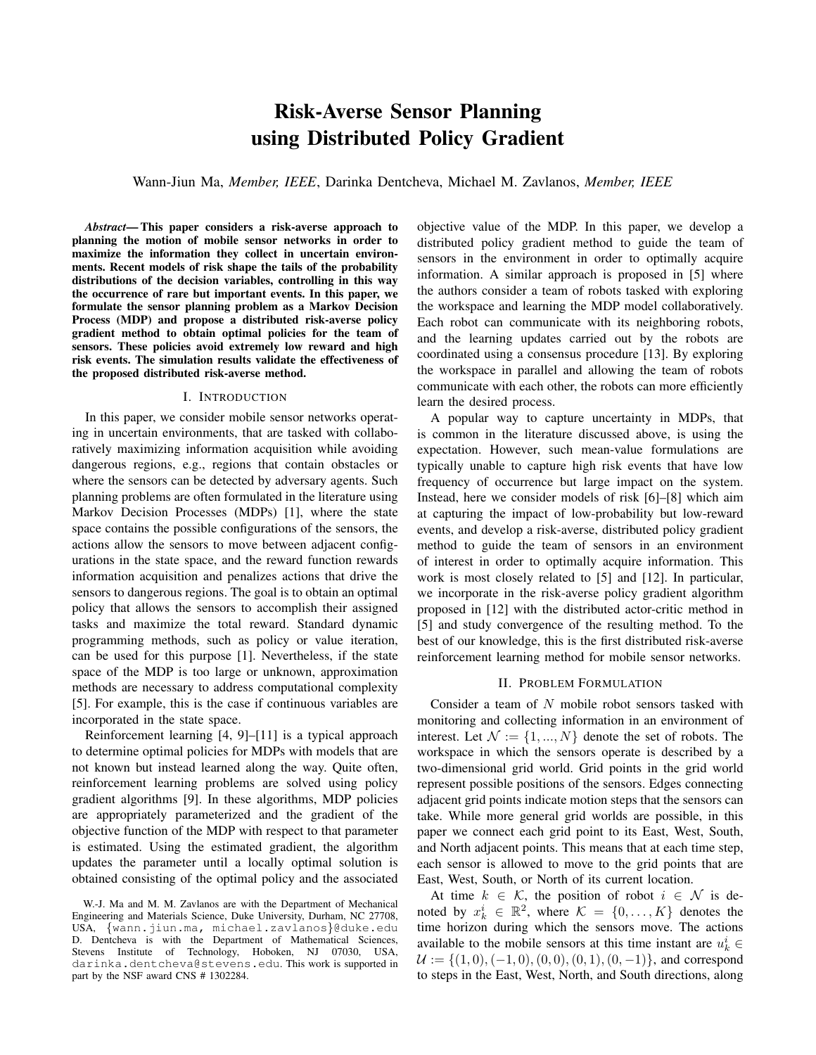# Risk-Averse Sensor Planning using Distributed Policy Gradient

Wann-Jiun Ma, *Member, IEEE*, Darinka Dentcheva, Michael M. Zavlanos, *Member, IEEE*

*Abstract*— This paper considers a risk-averse approach to planning the motion of mobile sensor networks in order to maximize the information they collect in uncertain environments. Recent models of risk shape the tails of the probability distributions of the decision variables, controlling in this way the occurrence of rare but important events. In this paper, we formulate the sensor planning problem as a Markov Decision Process (MDP) and propose a distributed risk-averse policy gradient method to obtain optimal policies for the team of sensors. These policies avoid extremely low reward and high risk events. The simulation results validate the effectiveness of the proposed distributed risk-averse method.

## I. INTRODUCTION

In this paper, we consider mobile sensor networks operating in uncertain environments, that are tasked with collaboratively maximizing information acquisition while avoiding dangerous regions, e.g., regions that contain obstacles or where the sensors can be detected by adversary agents. Such planning problems are often formulated in the literature using Markov Decision Processes (MDPs) [1], where the state space contains the possible configurations of the sensors, the actions allow the sensors to move between adjacent configurations in the state space, and the reward function rewards information acquisition and penalizes actions that drive the sensors to dangerous regions. The goal is to obtain an optimal policy that allows the sensors to accomplish their assigned tasks and maximize the total reward. Standard dynamic programming methods, such as policy or value iteration, can be used for this purpose [1]. Nevertheless, if the state space of the MDP is too large or unknown, approximation methods are necessary to address computational complexity [5]. For example, this is the case if continuous variables are incorporated in the state space.

Reinforcement learning [4, 9]–[11] is a typical approach to determine optimal policies for MDPs with models that are not known but instead learned along the way. Quite often, reinforcement learning problems are solved using policy gradient algorithms [9]. In these algorithms, MDP policies are appropriately parameterized and the gradient of the objective function of the MDP with respect to that parameter is estimated. Using the estimated gradient, the algorithm updates the parameter until a locally optimal solution is obtained consisting of the optimal policy and the associated

objective value of the MDP. In this paper, we develop a distributed policy gradient method to guide the team of sensors in the environment in order to optimally acquire information. A similar approach is proposed in [5] where the authors consider a team of robots tasked with exploring the workspace and learning the MDP model collaboratively. Each robot can communicate with its neighboring robots, and the learning updates carried out by the robots are coordinated using a consensus procedure [13]. By exploring the workspace in parallel and allowing the team of robots communicate with each other, the robots can more efficiently learn the desired process.

A popular way to capture uncertainty in MDPs, that is common in the literature discussed above, is using the expectation. However, such mean-value formulations are typically unable to capture high risk events that have low frequency of occurrence but large impact on the system. Instead, here we consider models of risk [6]–[8] which aim at capturing the impact of low-probability but low-reward events, and develop a risk-averse, distributed policy gradient method to guide the team of sensors in an environment of interest in order to optimally acquire information. This work is most closely related to [5] and [12]. In particular, we incorporate in the risk-averse policy gradient algorithm proposed in [12] with the distributed actor-critic method in [5] and study convergence of the resulting method. To the best of our knowledge, this is the first distributed risk-averse reinforcement learning method for mobile sensor networks.

#### II. PROBLEM FORMULATION

Consider a team of N mobile robot sensors tasked with monitoring and collecting information in an environment of interest. Let  $\mathcal{N} := \{1, ..., N\}$  denote the set of robots. The workspace in which the sensors operate is described by a two-dimensional grid world. Grid points in the grid world represent possible positions of the sensors. Edges connecting adjacent grid points indicate motion steps that the sensors can take. While more general grid worlds are possible, in this paper we connect each grid point to its East, West, South, and North adjacent points. This means that at each time step, each sensor is allowed to move to the grid points that are East, West, South, or North of its current location.

At time  $k \in \mathcal{K}$ , the position of robot  $i \in \mathcal{N}$  is denoted by  $x_k^i \in \mathbb{R}^2$ , where  $\mathcal{K} = \{0, ..., K\}$  denotes the time horizon during which the sensors move. The actions available to the mobile sensors at this time instant are  $u_k^i$  $U := \{(1, 0), (-1, 0), (0, 0), (0, 1), (0, -1)\}\$ , and correspond to steps in the East, West, North, and South directions, along

W.-J. Ma and M. M. Zavlanos are with the Department of Mechanical Engineering and Materials Science, Duke University, Durham, NC 27708, USA, {wann.jiun.ma, michael.zavlanos}@duke.edu D. Dentcheva is with the Department of Mathematical Sciences, Stevens Institute of Technology, Hoboken, NJ 07030, USA, darinka.dentcheva@stevens.edu. This work is supported in part by the NSF award CNS # 1302284.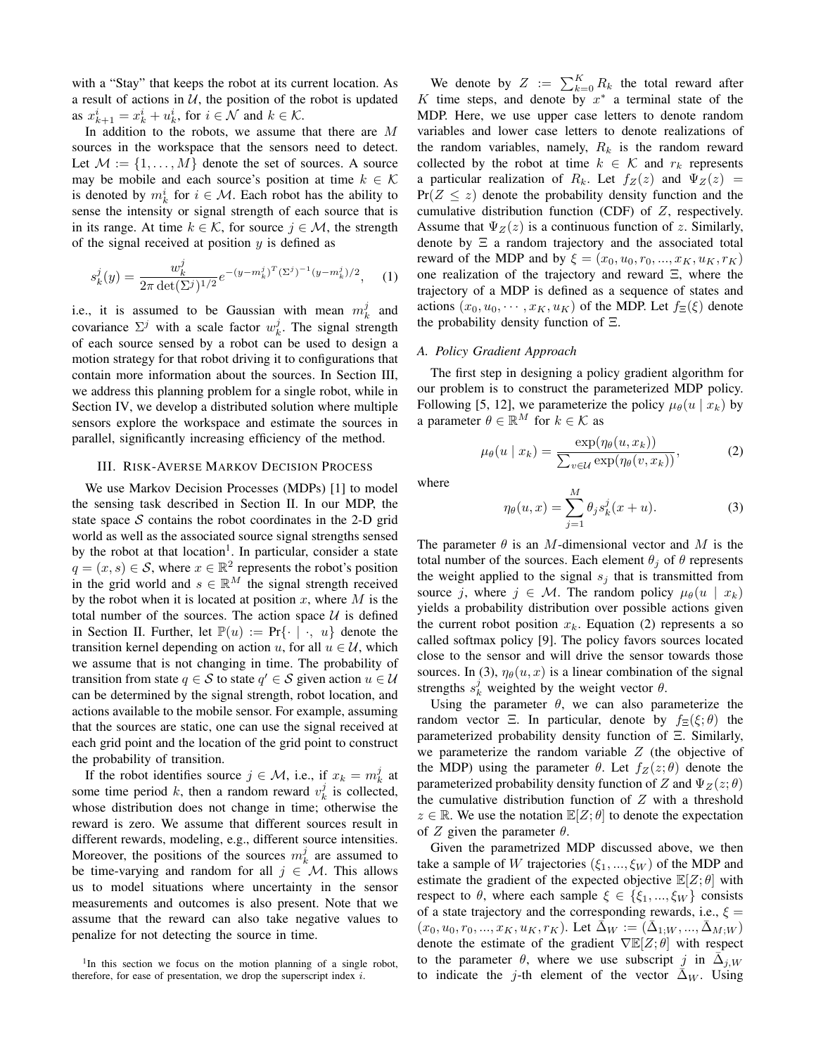with a "Stay" that keeps the robot at its current location. As a result of actions in  $U$ , the position of the robot is updated as  $x_{k+1}^i = x_k^i + u_k^i$ , for  $i \in \mathcal{N}$  and  $k \in \mathcal{K}$ .

In addition to the robots, we assume that there are M sources in the workspace that the sensors need to detect. Let  $\mathcal{M} := \{1, \ldots, M\}$  denote the set of sources. A source may be mobile and each source's position at time  $k \in \mathcal{K}$ is denoted by  $m_k^i$  for  $i \in \mathcal{M}$ . Each robot has the ability to sense the intensity or signal strength of each source that is in its range. At time  $k \in \mathcal{K}$ , for source  $j \in \mathcal{M}$ , the strength of the signal received at position  $y$  is defined as

$$
s_k^j(y) = \frac{w_k^j}{2\pi \det(\Sigma^j)^{1/2}} e^{-(y-m_k^j)^T (\Sigma^j)^{-1} (y-m_k^j)/2}, \quad (1)
$$

i.e., it is assumed to be Gaussian with mean  $m_k^j$  and covariance  $\Sigma^j$  with a scale factor  $w_k^j$ . The signal strength of each source sensed by a robot can be used to design a motion strategy for that robot driving it to configurations that contain more information about the sources. In Section III, we address this planning problem for a single robot, while in Section IV, we develop a distributed solution where multiple sensors explore the workspace and estimate the sources in parallel, significantly increasing efficiency of the method.

## III. RISK-AVERSE MARKOV DECISION PROCESS

We use Markov Decision Processes (MDPs) [1] to model the sensing task described in Section II. In our MDP, the state space  $S$  contains the robot coordinates in the 2-D grid world as well as the associated source signal strengths sensed by the robot at that location<sup>1</sup>. In particular, consider a state  $q = (x, s) \in S$ , where  $x \in \mathbb{R}^2$  represents the robot's position in the grid world and  $s \in \mathbb{R}^M$  the signal strength received by the robot when it is located at position  $x$ , where  $M$  is the total number of the sources. The action space  $U$  is defined in Section II. Further, let  $\mathbb{P}(u) := \Pr\{\cdot | \cdot, u\}$  denote the transition kernel depending on action u, for all  $u \in U$ , which we assume that is not changing in time. The probability of transition from state  $q \in S$  to state  $q' \in S$  given action  $u \in U$ can be determined by the signal strength, robot location, and actions available to the mobile sensor. For example, assuming that the sources are static, one can use the signal received at each grid point and the location of the grid point to construct the probability of transition.

If the robot identifies source  $j \in \mathcal{M}$ , i.e., if  $x_k = m_k^j$  at some time period k, then a random reward  $v_k^j$  is collected, whose distribution does not change in time; otherwise the reward is zero. We assume that different sources result in different rewards, modeling, e.g., different source intensities. Moreover, the positions of the sources  $m_k^j$  are assumed to be time-varying and random for all  $j \in \mathcal{M}$ . This allows us to model situations where uncertainty in the sensor measurements and outcomes is also present. Note that we assume that the reward can also take negative values to penalize for not detecting the source in time.

We denote by  $Z := \sum_{k=0}^{K} R_k$  the total reward after K time steps, and denote by  $x^*$  a terminal state of the MDP. Here, we use upper case letters to denote random variables and lower case letters to denote realizations of the random variables, namely,  $R_k$  is the random reward collected by the robot at time  $k \in \mathcal{K}$  and  $r_k$  represents a particular realization of  $R_k$ . Let  $f_Z(z)$  and  $\Psi_Z(z)$  =  $Pr(Z \leq z)$  denote the probability density function and the cumulative distribution function (CDF) of Z, respectively. Assume that  $\Psi_Z(z)$  is a continuous function of z. Similarly, denote by Ξ a random trajectory and the associated total reward of the MDP and by  $\xi = (x_0, u_0, r_0, ..., x_K, u_K, r_K)$ one realization of the trajectory and reward Ξ, where the trajectory of a MDP is defined as a sequence of states and actions  $(x_0, u_0, \dots, x_K, u_K)$  of the MDP. Let  $f_{\Xi}(\xi)$  denote the probability density function of Ξ.

#### *A. Policy Gradient Approach*

The first step in designing a policy gradient algorithm for our problem is to construct the parameterized MDP policy. Following [5, 12], we parameterize the policy  $\mu_{\theta}(u \mid x_k)$  by a parameter  $\theta \in \mathbb{R}^M$  for  $k \in \mathcal{K}$  as

$$
\mu_{\theta}(u \mid x_k) = \frac{\exp(\eta_{\theta}(u, x_k))}{\sum_{v \in \mathcal{U}} \exp(\eta_{\theta}(v, x_k))},\tag{2}
$$

where

$$
\eta_{\theta}(u,x) = \sum_{j=1}^{M} \theta_j s_k^j(x+u). \tag{3}
$$

The parameter  $\theta$  is an M-dimensional vector and M is the total number of the sources. Each element  $\theta_i$  of  $\theta$  represents the weight applied to the signal  $s_i$  that is transmitted from source j, where  $j \in M$ . The random policy  $\mu_{\theta}(u \mid x_k)$ yields a probability distribution over possible actions given the current robot position  $x_k$ . Equation (2) represents a so called softmax policy [9]. The policy favors sources located close to the sensor and will drive the sensor towards those sources. In (3),  $\eta_{\theta}(u, x)$  is a linear combination of the signal strengths  $s_k^j$  weighted by the weight vector  $\theta$ .

Using the parameter  $\theta$ , we can also parameterize the random vector Ξ. In particular, denote by  $f_{\Xi}(\xi;\theta)$  the parameterized probability density function of Ξ. Similarly, we parameterize the random variable  $Z$  (the objective of the MDP) using the parameter  $\theta$ . Let  $f_Z(z;\theta)$  denote the parameterized probability density function of Z and  $\Psi_Z(z;\theta)$ the cumulative distribution function of  $Z$  with a threshold  $z \in \mathbb{R}$ . We use the notation  $\mathbb{E}[Z; \theta]$  to denote the expectation of Z given the parameter  $\theta$ .

Given the parametrized MDP discussed above, we then take a sample of W trajectories  $(\xi_1, ..., \xi_W)$  of the MDP and estimate the gradient of the expected objective  $\mathbb{E}[Z; \theta]$  with respect to  $\theta$ , where each sample  $\xi \in {\xi_1, ..., \xi_W}$  consists of a state trajectory and the corresponding rewards, i.e.,  $\xi =$  $(x_0, u_0, r_0, ..., x_K, u_K, r_K)$ . Let  $\bar{\Delta}_W := (\bar{\Delta}_{1;W}, ..., \bar{\Delta}_{M;W})$ denote the estimate of the gradient  $\nabla \mathbb{E}[Z; \theta]$  with respect to the parameter  $\theta$ , where we use subscript j in  $\overline{\Delta}_{j,W}$ to indicate the j-th element of the vector  $\Delta_W$ . Using

<sup>&</sup>lt;sup>1</sup>In this section we focus on the motion planning of a single robot, therefore, for ease of presentation, we drop the superscript index  $i$ .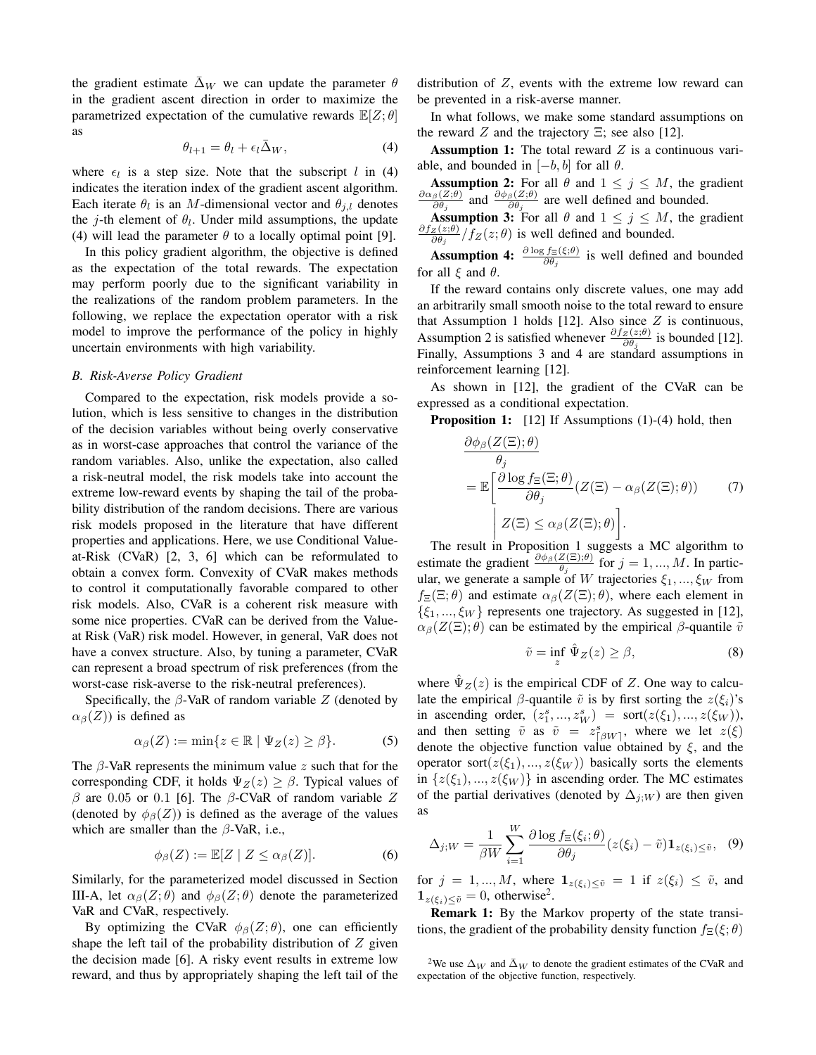the gradient estimate  $\overline{\Delta}_W$  we can update the parameter  $\theta$ in the gradient ascent direction in order to maximize the parametrized expectation of the cumulative rewards  $\mathbb{E}[Z; \theta]$ as

$$
\theta_{l+1} = \theta_l + \epsilon_l \bar{\Delta}_W, \tag{4}
$$

where  $\epsilon_l$  is a step size. Note that the subscript l in (4) indicates the iteration index of the gradient ascent algorithm. Each iterate  $\theta_l$  is an M-dimensional vector and  $\theta_{j,l}$  denotes the *j*-th element of  $\theta_l$ . Under mild assumptions, the update (4) will lead the parameter  $\theta$  to a locally optimal point [9].

In this policy gradient algorithm, the objective is defined as the expectation of the total rewards. The expectation may perform poorly due to the significant variability in the realizations of the random problem parameters. In the following, we replace the expectation operator with a risk model to improve the performance of the policy in highly uncertain environments with high variability.

#### *B. Risk-Averse Policy Gradient*

Compared to the expectation, risk models provide a solution, which is less sensitive to changes in the distribution of the decision variables without being overly conservative as in worst-case approaches that control the variance of the random variables. Also, unlike the expectation, also called a risk-neutral model, the risk models take into account the extreme low-reward events by shaping the tail of the probability distribution of the random decisions. There are various risk models proposed in the literature that have different properties and applications. Here, we use Conditional Valueat-Risk (CVaR) [2, 3, 6] which can be reformulated to obtain a convex form. Convexity of CVaR makes methods to control it computationally favorable compared to other risk models. Also, CVaR is a coherent risk measure with some nice properties. CVaR can be derived from the Valueat Risk (VaR) risk model. However, in general, VaR does not have a convex structure. Also, by tuning a parameter, CVaR can represent a broad spectrum of risk preferences (from the worst-case risk-averse to the risk-neutral preferences).

Specifically, the  $\beta$ -VaR of random variable Z (denoted by  $\alpha_{\beta}(Z)$ ) is defined as

$$
\alpha_{\beta}(Z) := \min\{z \in \mathbb{R} \mid \Psi_Z(z) \ge \beta\}.
$$
 (5)

The  $\beta$ -VaR represents the minimum value z such that for the corresponding CDF, it holds  $\Psi_Z(z) \geq \beta$ . Typical values of β are 0.05 or 0.1 [6]. The β-CVaR of random variable  $Z$ (denoted by  $\phi_{\beta}(Z)$ ) is defined as the average of the values which are smaller than the  $\beta$ -VaR, i.e.,

$$
\phi_{\beta}(Z) := \mathbb{E}[Z \mid Z \le \alpha_{\beta}(Z)]. \tag{6}
$$

Similarly, for the parameterized model discussed in Section III-A, let  $\alpha_{\beta}(Z;\theta)$  and  $\phi_{\beta}(Z;\theta)$  denote the parameterized VaR and CVaR, respectively.

By optimizing the CVaR  $\phi_{\beta}(Z;\theta)$ , one can efficiently shape the left tail of the probability distribution of  $Z$  given the decision made [6]. A risky event results in extreme low reward, and thus by appropriately shaping the left tail of the distribution of Z, events with the extreme low reward can be prevented in a risk-averse manner.

In what follows, we make some standard assumptions on the reward  $Z$  and the trajectory  $\Xi$ ; see also [12].

**Assumption 1:** The total reward  $Z$  is a continuous variable, and bounded in  $[-b, b]$  for all  $\theta$ .

**Assumption 2:** For all  $\theta$  and  $1 \leq j \leq M$ , the gradient  $\partial \alpha_{\beta}(Z;\theta)$  and  $\partial \phi_{\beta}(Z;\theta)$  are well defined and bounded  $\frac{\partial \beta(Z;\theta)}{\partial \theta_j}$  and  $\frac{\partial \phi_{\beta}(Z;\theta)}{\partial \theta_j}$  are well defined and bounded.

**Assumption 3:** For all  $\theta$  and  $1 \leq j \leq M$ , the gradient  $\partial f_Z(z;\theta)$  $\frac{z(z;\theta)}{\partial \theta_j}/f_Z(z;\theta)$  is well defined and bounded.

**Assumption 4:**  $\frac{\partial \log f_{\Xi}(\xi;\theta)}{\partial \theta_j}$  is well defined and bounded for all  $\xi$  and  $\theta$ .

If the reward contains only discrete values, one may add an arbitrarily small smooth noise to the total reward to ensure that Assumption 1 holds [12]. Also since  $Z$  is continuous, Assumption 2 is satisfied whenever  $\frac{\partial f_z(z;\theta)}{\partial \theta_j}$  is bounded [12]. Finally, Assumptions 3 and 4 are standard assumptions in reinforcement learning [12].

As shown in [12], the gradient of the CVaR can be expressed as a conditional expectation.

**Proposition 1:** [12] If Assumptions (1)-(4) hold, then

$$
\frac{\partial \phi_{\beta}(Z(\Xi); \theta)}{\theta_j} = \mathbb{E}\left[\frac{\partial \log f_{\Xi}(\Xi; \theta)}{\partial \theta_j}(Z(\Xi) - \alpha_{\beta}(Z(\Xi); \theta))\right]
$$
\n
$$
Z(\Xi) \leq \alpha_{\beta}(Z(\Xi); \theta).
$$
\n(7)

 The result in Proposition 1 suggests a MC algorithm to estimate the gradient  $\frac{\partial \phi_{\beta}(Z(\Xi);\theta)}{\theta_j}$  for  $j = 1, ..., M$ . In particular, we generate a sample of W trajectories  $\xi_1, ..., \xi_W$  from  $f_{\Xi}(\Xi;\theta)$  and estimate  $\alpha_{\beta}(Z(\Xi);\theta)$ , where each element in  $\{\xi_1, ..., \xi_W\}$  represents one trajectory. As suggested in [12],  $\alpha_{\beta}(Z(\Xi);\theta)$  can be estimated by the empirical  $\beta$ -quantile  $\tilde{v}$ 

$$
\tilde{v} = \inf_{z} \hat{\Psi}_Z(z) \ge \beta,
$$
\n(8)

where  $\hat{\Psi}_Z(z)$  is the empirical CDF of Z. One way to calculate the empirical  $\beta$ -quantile  $\tilde{v}$  is by first sorting the  $z(\xi_i)$ 's in ascending order,  $(z_1^s, ..., z_W^s) = \text{sort}(z(\xi_1), ..., z(\xi_W)),$ and then setting  $\tilde{v}$  as  $\tilde{v} = z_{\lceil \beta W \rceil}^s$ , where we let  $z(\xi)$ denote the objective function value obtained by  $\xi$ , and the operator sort( $z(\xi_1),..., z(\xi_W)$ ) basically sorts the elements in  $\{z(\xi_1),...,z(\xi_W)\}\$ in ascending order. The MC estimates of the partial derivatives (denoted by  $\Delta_{j;W}$ ) are then given as

$$
\Delta_{j;W} = \frac{1}{\beta W} \sum_{i=1}^{W} \frac{\partial \log f_{\Xi}(\xi_i; \theta)}{\partial \theta_j} (z(\xi_i) - \tilde{v}) \mathbf{1}_{z(\xi_i) \leq \tilde{v}}, \quad (9)
$$

for  $j = 1, ..., M$ , where  $\mathbf{1}_{z(\xi_i) \leq \tilde{v}} = 1$  if  $z(\xi_i) \leq \tilde{v}$ , and  $\mathbf{1}_{z(\xi_i)\leq \tilde{v}}=0$ , otherwise<sup>2</sup>.

Remark 1: By the Markov property of the state transitions, the gradient of the probability density function  $f_{\Xi}(\xi; \theta)$ 

<sup>&</sup>lt;sup>2</sup>We use  $\Delta_W$  and  $\bar{\Delta}_W$  to denote the gradient estimates of the CVaR and expectation of the objective function, respectively.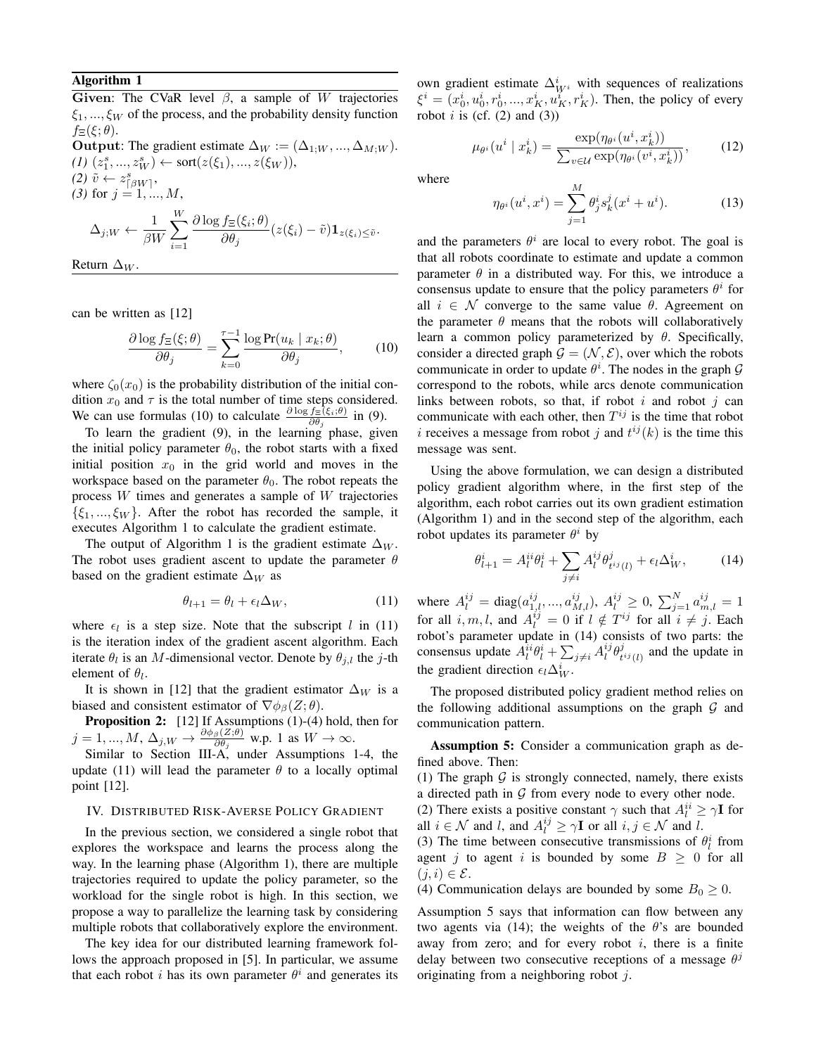### Algorithm 1

Given: The CVaR level  $\beta$ , a sample of W trajectories  $\xi_1, ..., \xi_W$  of the process, and the probability density function  $f_{\Xi}(\xi;\theta).$ Output: The gradient estimate  $\Delta_W := (\Delta_{1:W}, ..., \Delta_{M:W}).$ 

 $(I)$   $(z_1^s, ..., z_W^s) \leftarrow \text{sort}(z(\xi_1), ..., z(\xi_W)),$  $(2) \tilde{v} \leftarrow z_{\lceil \beta W \rceil}^s$ (3) for  $j = 1, ..., M$ ,  $\Delta_{j;W} \leftarrow \frac{1}{\rho_{\mathbf{U}}}$  $\beta W$  $\sum_{i=1}^{N}$  $\partial \log f_{\Xi}(\xi_i;\theta)$  $\frac{\partial \mathcal{L}(\xi_i, \theta')}{\partial \theta_j}(z(\xi_i) - \tilde{v})\mathbf{1}_{z(\xi_i)\leq \tilde{v}}.$ 

$$
Return \Delta_W.
$$

can be written as [12]

 $i=1$ 

$$
\frac{\partial \log f_{\Xi}(\xi;\theta)}{\partial \theta_j} = \sum_{k=0}^{\tau-1} \frac{\log \Pr(u_k \mid x_k; \theta)}{\partial \theta_j},\tag{10}
$$

where  $\zeta_0(x_0)$  is the probability distribution of the initial condition  $x_0$  and  $\tau$  is the total number of time steps considered. We can use formulas (10) to calculate  $\frac{\partial \log f_{\Xi}(\xi_i;\theta)}{\partial \theta_j}$  in (9).

To learn the gradient  $(9)$ , in the learning phase, given the initial policy parameter  $\theta_0$ , the robot starts with a fixed initial position  $x_0$  in the grid world and moves in the workspace based on the parameter  $\theta_0$ . The robot repeats the process W times and generates a sample of W trajectories  $\{\xi_1, ..., \xi_W\}$ . After the robot has recorded the sample, it executes Algorithm 1 to calculate the gradient estimate.

The output of Algorithm 1 is the gradient estimate  $\Delta_W$ . The robot uses gradient ascent to update the parameter  $\theta$ based on the gradient estimate  $\Delta_W$  as

$$
\theta_{l+1} = \theta_l + \epsilon_l \Delta_W, \qquad (11)
$$

where  $\epsilon_l$  is a step size. Note that the subscript l in (11) is the iteration index of the gradient ascent algorithm. Each iterate  $\theta_l$  is an M-dimensional vector. Denote by  $\theta_{j,l}$  the j-th element of  $\theta_l$ .

It is shown in [12] that the gradient estimator  $\Delta_W$  is a biased and consistent estimator of  $\nabla \phi_{\beta}(Z;\theta)$ .

**Proposition 2:** [12] If Assumptions (1)-(4) hold, then for  $j=1,...,M,$   $\Delta_{j,W}\rightarrow \frac{\partial \phi_{\beta}(Z;\theta)}{\partial \theta_{\beta}}$  $\frac{\partial \beta(z;\theta)}{\partial \theta_j}$  w.p. 1 as  $W \to \infty$ .

Similar to Section III-A, under Assumptions 1-4, the update (11) will lead the parameter  $\theta$  to a locally optimal point [12].

## IV. DISTRIBUTED RISK-AVERSE POLICY GRADIENT

In the previous section, we considered a single robot that explores the workspace and learns the process along the way. In the learning phase (Algorithm 1), there are multiple trajectories required to update the policy parameter, so the workload for the single robot is high. In this section, we propose a way to parallelize the learning task by considering multiple robots that collaboratively explore the environment.

The key idea for our distributed learning framework follows the approach proposed in [5]. In particular, we assume that each robot *i* has its own parameter  $\theta^i$  and generates its

own gradient estimate  $\Delta^i_{W^i}$  with sequences of realizations  $\xi^{i} = (x_0^{i}, u_0^{i}, r_0^{i}, ..., x_K^{i}, u_K^{i}, r_K^{i}).$  Then, the policy of every robot  $i$  is (cf. (2) and (3))

$$
\mu_{\theta^i}(u^i \mid x_k^i) = \frac{\exp(\eta_{\theta^i}(u^i, x_k^i))}{\sum_{v \in \mathcal{U}} \exp(\eta_{\theta^i}(v^i, x_k^i))},\tag{12}
$$

where

$$
\eta_{\theta^i}(u^i, x^i) = \sum_{j=1}^M \theta^i_j s^j_k(x^i + u^i).
$$
 (13)

and the parameters  $\theta^i$  are local to every robot. The goal is that all robots coordinate to estimate and update a common parameter  $\theta$  in a distributed way. For this, we introduce a consensus update to ensure that the policy parameters  $\theta^i$  for all  $i \in \mathcal{N}$  converge to the same value  $\theta$ . Agreement on the parameter  $\theta$  means that the robots will collaboratively learn a common policy parameterized by  $\theta$ . Specifically, consider a directed graph  $\mathcal{G} = (\mathcal{N}, \mathcal{E})$ , over which the robots communicate in order to update  $\theta^i$ . The nodes in the graph  $\mathcal G$ correspond to the robots, while arcs denote communication links between robots, so that, if robot  $i$  and robot  $j$  can communicate with each other, then  $T^{ij}$  is the time that robot i receives a message from robot j and  $t^{ij}(k)$  is the time this message was sent.

Using the above formulation, we can design a distributed policy gradient algorithm where, in the first step of the algorithm, each robot carries out its own gradient estimation (Algorithm 1) and in the second step of the algorithm, each robot updates its parameter  $\theta^i$  by

$$
\theta_{l+1}^i = A_l^{ii} \theta_l^i + \sum_{j \neq i} A_l^{ij} \theta_{t^{ij}(l)}^j + \epsilon_l \Delta_W^i, \qquad (14)
$$

where  $A_l^{ij} = \text{diag}(a_{1,l}^{ij},...,a_{M,l}^{ij}), A_l^{ij} \ge 0, \sum_{j=1}^N a_{m,l}^{ij} = 1$ for all  $i, m, l$ , and  $A_l^{ij} = 0$  if  $l \notin T^{ij}$  for all  $i \neq j$ . Each robot's parameter update in (14) consists of two parts: the consensus update  $A_l^{i} \theta_l^i + \sum_{j \neq i} A_l^{ij} \theta_l^j$  $t^{ij}(l)$  and the update in the gradient direction  $\epsilon_l \Delta_W^i$ .

The proposed distributed policy gradient method relies on the following additional assumptions on the graph  $G$  and communication pattern.

Assumption 5: Consider a communication graph as defined above. Then:

(1) The graph  $G$  is strongly connected, namely, there exists a directed path in  $G$  from every node to every other node.

(2) There exists a positive constant  $\gamma$  such that  $A_i^{ii} \ge \gamma \mathbf{I}$  for all  $i \in \mathcal{N}$  and  $l$ , and  $A_l^{ij} \ge \gamma \mathbf{I}$  or all  $i, j \in \mathcal{N}$  and  $l$ .

(3) The time between consecutive transmissions of  $\theta_l^i$  from agent j to agent i is bounded by some  $B \geq 0$  for all  $(j, i) \in \mathcal{E}$ .

(4) Communication delays are bounded by some  $B_0 \geq 0$ .

Assumption 5 says that information can flow between any two agents via (14); the weights of the  $\theta$ 's are bounded away from zero; and for every robot  $i$ , there is a finite delay between two consecutive receptions of a message  $\theta^j$ originating from a neighboring robot  $j$ .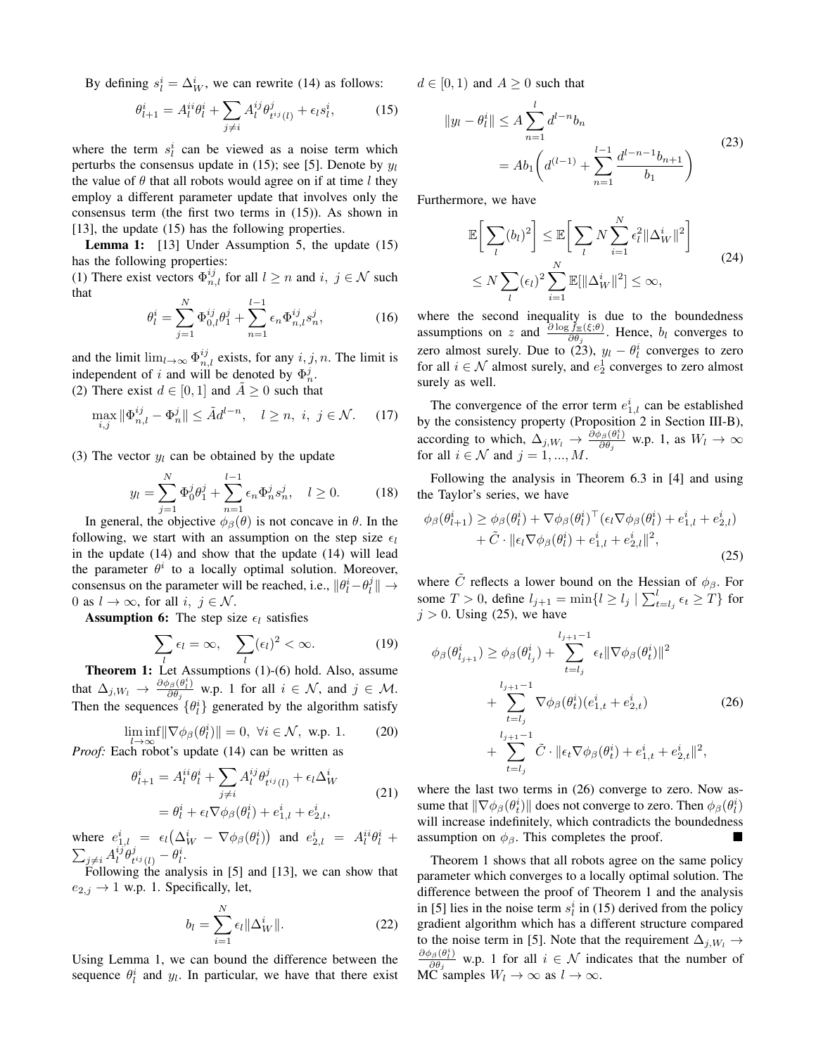By defining  $s_l^i = \Delta_W^i$ , we can rewrite (14) as follows:

$$
\theta_{l+1}^i = A_l^{ii} \theta_l^i + \sum_{j \neq i} A_l^{ij} \theta_{t^{ij}(l)}^j + \epsilon_l s_l^i, \tag{15}
$$

where the term  $s_i^i$  can be viewed as a noise term which perturbs the consensus update in (15); see [5]. Denote by  $y_l$ the value of  $\theta$  that all robots would agree on if at time l they employ a different parameter update that involves only the consensus term (the first two terms in (15)). As shown in [13], the update (15) has the following properties.

**Lemma 1:** [13] Under Assumption 5, the update (15) has the following properties:

(1) There exist vectors  $\Phi_{n,l}^{ij}$  for all  $l \geq n$  and  $i, j \in \mathcal{N}$  such that

$$
\theta_l^i = \sum_{j=1}^N \Phi_{0,l}^{ij} \theta_1^j + \sum_{n=1}^{l-1} \epsilon_n \Phi_{n,l}^{ij} s_n^j,
$$
 (16)

and the limit  $\lim_{l\to\infty} \Phi_{n,l}^{ij}$  exists, for any  $i, j, n$ . The limit is independent of i and will be denoted by  $\Phi_n^j$ .

(2) There exist  $d \in [0, 1]$  and  $A \ge 0$  such that

$$
\max_{i,j} \|\Phi_{n,l}^{ij} - \Phi_n^j\| \le \tilde{A}d^{l-n}, \quad l \ge n, \ i, \ j \in \mathcal{N}.
$$
 (17)

(3) The vector  $y_l$  can be obtained by the update

$$
y_l = \sum_{j=1}^{N} \Phi_0^j \theta_1^j + \sum_{n=1}^{l-1} \epsilon_n \Phi_n^j s_n^j, \quad l \ge 0.
$$
 (18)

In general, the objective  $\phi_{\beta}(\theta)$  is not concave in  $\theta$ . In the following, we start with an assumption on the step size  $\epsilon_1$ in the update (14) and show that the update (14) will lead the parameter  $\theta^i$  to a locally optimal solution. Moreover, consensus on the parameter will be reached, i.e.,  $\|\theta_i^i - \theta_i^j\| \to$ 0 as  $l \to \infty$ , for all  $i, j \in \mathcal{N}$ .

**Assumption 6:** The step size  $\epsilon_l$  satisfies

$$
\sum_{l} \epsilon_l = \infty, \quad \sum_{l} (\epsilon_l)^2 < \infty. \tag{19}
$$

**Theorem 1:** Let Assumptions (1)-(6) hold. Also, assume that  $\Delta_{j,W_l} \rightarrow \frac{\partial \phi_\beta(\theta_l^i)}{\partial \theta_i}$  $\frac{\partial \beta(\theta_i)}{\partial \theta_j}$  w.p. 1 for all  $i \in \mathcal{N}$ , and  $j \in \mathcal{M}$ . Then the sequences  $\{\theta_i^i\}$  generated by the algorithm satisfy

$$
\liminf_{l \to \infty} \|\nabla \phi_{\beta}(\theta_l^i)\| = 0, \ \forall i \in \mathcal{N}, \ \text{w.p. 1.}
$$
 (20)

*Proof:* Each robot's update (14) can be written as

$$
\theta_{l+1}^{i} = A_{l}^{ii} \theta_{l}^{i} + \sum_{j \neq i} A_{l}^{ij} \theta_{t^{ij}(l)}^{j} + \epsilon_{l} \Delta_{W}^{i}
$$
\n
$$
= \theta_{l}^{i} + \epsilon_{l} \nabla \phi_{\beta}(\theta_{l}^{i}) + e_{1,l}^{i} + e_{2,l}^{i},
$$
\n(21)

where  $e_{1,l}^i = \epsilon_l (\Delta_W^i - \nabla \phi_\beta(\theta_l^i))$  and  $e_{2,l}^i = A_l^{ii} \theta_l^i +$  $\sum_{j\neq i}A_{l}^{ij}\theta_{t}^{j}$  $_{t^{ij}(l)}^j-\theta_l^i.$ 

Following the analysis in [5] and [13], we can show that  $e_{2,j} \rightarrow 1$  w.p. 1. Specifically, let,

$$
b_l = \sum_{i=1}^{N} \epsilon_l \|\Delta_W^i\|.
$$
 (22)

Using Lemma 1, we can bound the difference between the sequence  $\theta_i^i$  and  $y_i$ . In particular, we have that there exist

 $d \in [0, 1)$  and  $A > 0$  such that

$$
||y_l - \theta_l^i|| \le A \sum_{n=1}^l d^{l-n} b_n
$$
  
=  $A b_1 \left( d^{(l-1)} + \sum_{n=1}^{l-1} \frac{d^{l-n-1} b_{n+1}}{b_1} \right)$  (23)

Furthermore, we have

$$
\mathbb{E}\left[\sum_{l}(b_{l})^{2}\right] \leq \mathbb{E}\left[\sum_{l} N \sum_{i=1}^{N} \epsilon_{l}^{2} \|\Delta_{W}^{i}\|^{2}\right]
$$
\n
$$
\leq N \sum_{l} (\epsilon_{l})^{2} \sum_{i=1}^{N} \mathbb{E}[\|\Delta_{W}^{i}\|^{2}] \leq \infty,
$$
\n(24)

where the second inequality is due to the boundedness assumptions on z and  $\frac{\partial \log f_{\Xi}(\xi;\theta)}{\partial \theta_j}$ . Hence,  $b_l$  converges to zero almost surely. Due to (23),  $y_l - \theta_l^i$  converges to zero for all  $i \in \mathcal{N}$  almost surely, and  $e_2^1$  converges to zero almost surely as well.

The convergence of the error term  $e_{1,l}^i$  can be established by the consistency property (Proposition 2 in Section III-B), according to which,  $\Delta_{j,W_l} \rightarrow \frac{\partial \phi_{\beta}(\theta_i^i)}{\partial \theta_i}$  $\frac{\partial \beta(\theta_l)}{\partial \theta_j}$  w.p. 1, as  $W_l \to \infty$ for all  $i \in \mathcal{N}$  and  $j = 1, ..., M$ .

Following the analysis in Theorem 6.3 in [4] and using the Taylor's series, we have

$$
\phi_{\beta}(\theta_{l+1}^{i}) \geq \phi_{\beta}(\theta_{l}^{i}) + \nabla\phi_{\beta}(\theta_{l}^{i})^{\top}(\epsilon_{l}\nabla\phi_{\beta}(\theta_{l}^{i}) + e_{1,l}^{i} + e_{2,l}^{i}) + \tilde{C} \cdot ||\epsilon_{l}\nabla\phi_{\beta}(\theta_{l}^{i}) + e_{1,l}^{i} + e_{2,l}^{i}||^{2},
$$
\n(25)

where  $\tilde{C}$  reflects a lower bound on the Hessian of  $\phi_{\beta}$ . For some  $T > 0$ , define  $l_{j+1} = \min\{l \ge l_j \mid \sum_{t=l_j}^{l} \epsilon_t \ge T\}$  for  $j > 0$ . Using (25), we have

$$
\phi_{\beta}(\theta_{l_{j+1}}^{i}) \geq \phi_{\beta}(\theta_{l_{j}}^{i}) + \sum_{t=l_{j}}^{l_{j+1}-1} \epsilon_{t} ||\nabla \phi_{\beta}(\theta_{t}^{i})||^{2} \n+ \sum_{t=l_{j}}^{l_{j+1}-1} \nabla \phi_{\beta}(\theta_{t}^{i})(e_{1,t}^{i} + e_{2,t}^{i}) \n+ \sum_{t=l_{j}}^{l_{j+1}-1} \tilde{C} \cdot ||\epsilon_{t} \nabla \phi_{\beta}(\theta_{t}^{i}) + e_{1,t}^{i} + e_{2,t}^{i}||^{2},
$$
\n(26)

where the last two terms in  $(26)$  converge to zero. Now assume that  $\|\nabla\phi_\beta(\theta^i_t)\|$  does not converge to zero. Then  $\phi_\beta(\theta^i_l)$ will increase indefinitely, which contradicts the boundedness assumption on  $\phi_{\beta}$ . This completes the proof.

Theorem 1 shows that all robots agree on the same policy parameter which converges to a locally optimal solution. The difference between the proof of Theorem 1 and the analysis in [5] lies in the noise term  $s_l^i$  in (15) derived from the policy gradient algorithm which has a different structure compared to the noise term in [5]. Note that the requirement  $\Delta_{j,W_l} \rightarrow$  $\partial \phi_\beta(\theta_l^i)$  $\frac{\partial \beta(\theta_i)}{\partial \theta_j}$  w.p. 1 for all  $i \in \mathcal{N}$  indicates that the number of MC samples  $W_l \to \infty$  as  $l \to \infty$ .